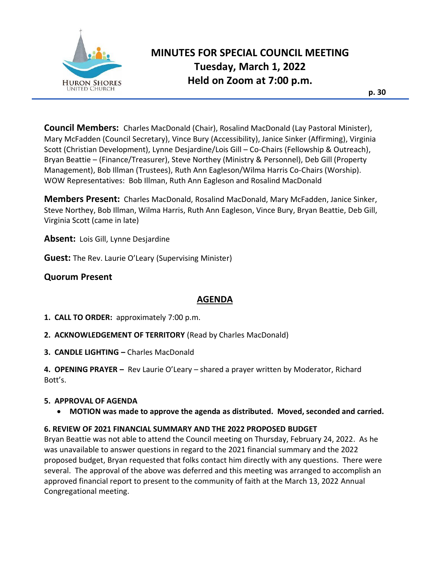

# **MINUTES FOR SPECIAL COUNCIL MEETING Tuesday, March 1, 2022 Held on Zoom at 7:00 p.m.**

**Council Members:** Charles MacDonald (Chair), Rosalind MacDonald (Lay Pastoral Minister), Mary McFadden (Council Secretary), Vince Bury (Accessibility), Janice Sinker (Affirming), Virginia Scott (Christian Development), Lynne Desjardine/Lois Gill – Co-Chairs (Fellowship & Outreach), Bryan Beattie – (Finance/Treasurer), Steve Northey (Ministry & Personnel), Deb Gill (Property Management), Bob Illman (Trustees), Ruth Ann Eagleson/Wilma Harris Co-Chairs (Worship). WOW Representatives: Bob Illman, Ruth Ann Eagleson and Rosalind MacDonald

**Members Present:** Charles MacDonald, Rosalind MacDonald, Mary McFadden, Janice Sinker, Steve Northey, Bob Illman, Wilma Harris, Ruth Ann Eagleson, Vince Bury, Bryan Beattie, Deb Gill, Virginia Scott (came in late)

**Absent:** Lois Gill, Lynne Desjardine

**Guest:** The Rev. Laurie O'Leary (Supervising Minister)

# **Quorum Present**

# **AGENDA**

- **1. CALL TO ORDER:** approximately 7:00 p.m.
- **2. ACKNOWLEDGEMENT OF TERRITORY** (Read by Charles MacDonald)
- **3. CANDLE LIGHTING –** Charles MacDonald

**4. OPENING PRAYER –** Rev Laurie O'Leary – shared a prayer written by Moderator, Richard Bott's.

#### **5. APPROVAL OF AGENDA**

• **MOTION was made to approve the agenda as distributed. Moved, seconded and carried.** 

## **6. REVIEW OF 2021 FINANCIAL SUMMARY AND THE 2022 PROPOSED BUDGET**

Bryan Beattie was not able to attend the Council meeting on Thursday, February 24, 2022. As he was unavailable to answer questions in regard to the 2021 financial summary and the 2022 proposed budget, Bryan requested that folks contact him directly with any questions. There were several. The approval of the above was deferred and this meeting was arranged to accomplish an approved financial report to present to the community of faith at the March 13, 2022 Annual Congregational meeting.